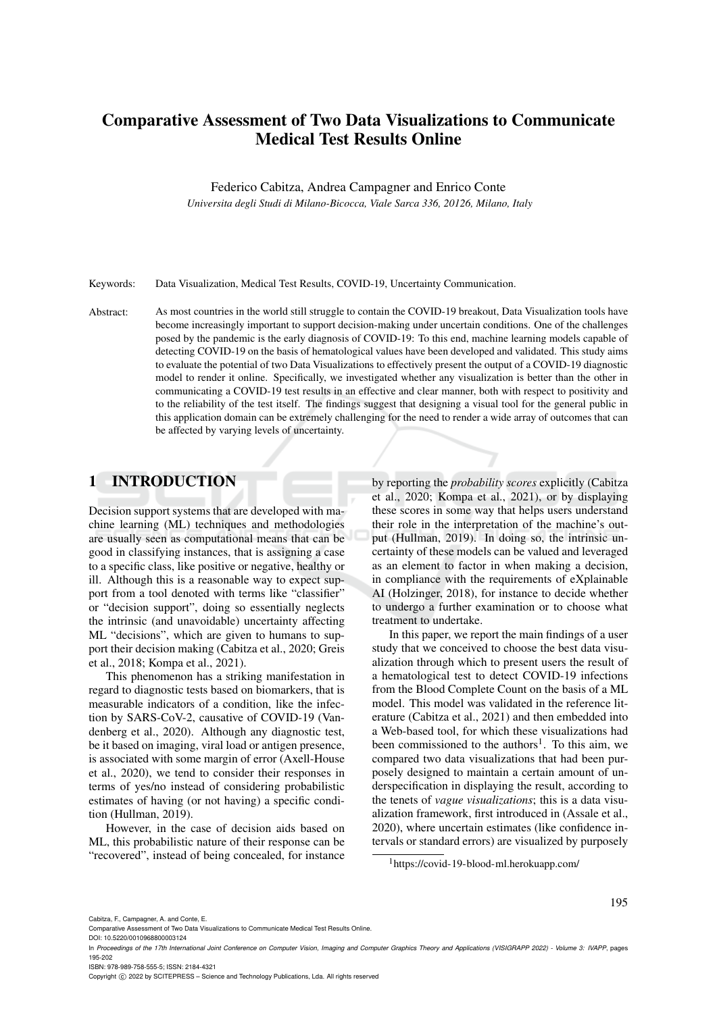# Comparative Assessment of Two Data Visualizations to Communicate Medical Test Results Online

Federico Cabitza, Andrea Campagner and Enrico Conte

*Universita degli Studi di Milano-Bicocca, Viale Sarca 336, 20126, Milano, Italy*

Keywords: Data Visualization, Medical Test Results, COVID-19, Uncertainty Communication.

Abstract: As most countries in the world still struggle to contain the COVID-19 breakout, Data Visualization tools have become increasingly important to support decision-making under uncertain conditions. One of the challenges posed by the pandemic is the early diagnosis of COVID-19: To this end, machine learning models capable of detecting COVID-19 on the basis of hematological values have been developed and validated. This study aims to evaluate the potential of two Data Visualizations to effectively present the output of a COVID-19 diagnostic model to render it online. Specifically, we investigated whether any visualization is better than the other in communicating a COVID-19 test results in an effective and clear manner, both with respect to positivity and to the reliability of the test itself. The findings suggest that designing a visual tool for the general public in this application domain can be extremely challenging for the need to render a wide array of outcomes that can be affected by varying levels of uncertainty.

## 1 INTRODUCTION

Decision support systems that are developed with machine learning (ML) techniques and methodologies are usually seen as computational means that can be good in classifying instances, that is assigning a case to a specific class, like positive or negative, healthy or ill. Although this is a reasonable way to expect support from a tool denoted with terms like "classifier" or "decision support", doing so essentially neglects the intrinsic (and unavoidable) uncertainty affecting ML "decisions", which are given to humans to support their decision making (Cabitza et al., 2020; Greis et al., 2018; Kompa et al., 2021).

This phenomenon has a striking manifestation in regard to diagnostic tests based on biomarkers, that is measurable indicators of a condition, like the infection by SARS-CoV-2, causative of COVID-19 (Vandenberg et al., 2020). Although any diagnostic test, be it based on imaging, viral load or antigen presence, is associated with some margin of error (Axell-House et al., 2020), we tend to consider their responses in terms of yes/no instead of considering probabilistic estimates of having (or not having) a specific condition (Hullman, 2019).

However, in the case of decision aids based on ML, this probabilistic nature of their response can be "recovered", instead of being concealed, for instance

by reporting the *probability scores* explicitly (Cabitza et al., 2020; Kompa et al., 2021), or by displaying these scores in some way that helps users understand their role in the interpretation of the machine's output (Hullman, 2019). In doing so, the intrinsic uncertainty of these models can be valued and leveraged as an element to factor in when making a decision, in compliance with the requirements of eXplainable AI (Holzinger, 2018), for instance to decide whether to undergo a further examination or to choose what treatment to undertake.

In this paper, we report the main findings of a user study that we conceived to choose the best data visualization through which to present users the result of a hematological test to detect COVID-19 infections from the Blood Complete Count on the basis of a ML model. This model was validated in the reference literature (Cabitza et al., 2021) and then embedded into a Web-based tool, for which these visualizations had been commissioned to the authors<sup>1</sup>. To this aim, we compared two data visualizations that had been purposely designed to maintain a certain amount of underspecification in displaying the result, according to the tenets of *vague visualizations*; this is a data visualization framework, first introduced in (Assale et al., 2020), where uncertain estimates (like confidence intervals or standard errors) are visualized by purposely

<sup>1</sup>https://covid-19-blood-ml.herokuapp.com/

195

DOI: 10.5220/0010968800003124

ISBN: 978-989-758-555-5; ISSN: 2184-4321

Copyright (C) 2022 by SCITEPRESS - Science and Technology Publications, Lda. All rights reserved

Comparative Assessment of Two Data Visualizations to Communicate Medical Test Results Online.

In *Proceedings of the 17th International Joint Conference on Computer Vision, Imaging and Computer Graphics Theory and Applications (VISIGRAPP 2022) - Volume 3: IVAPP*, pages 195-202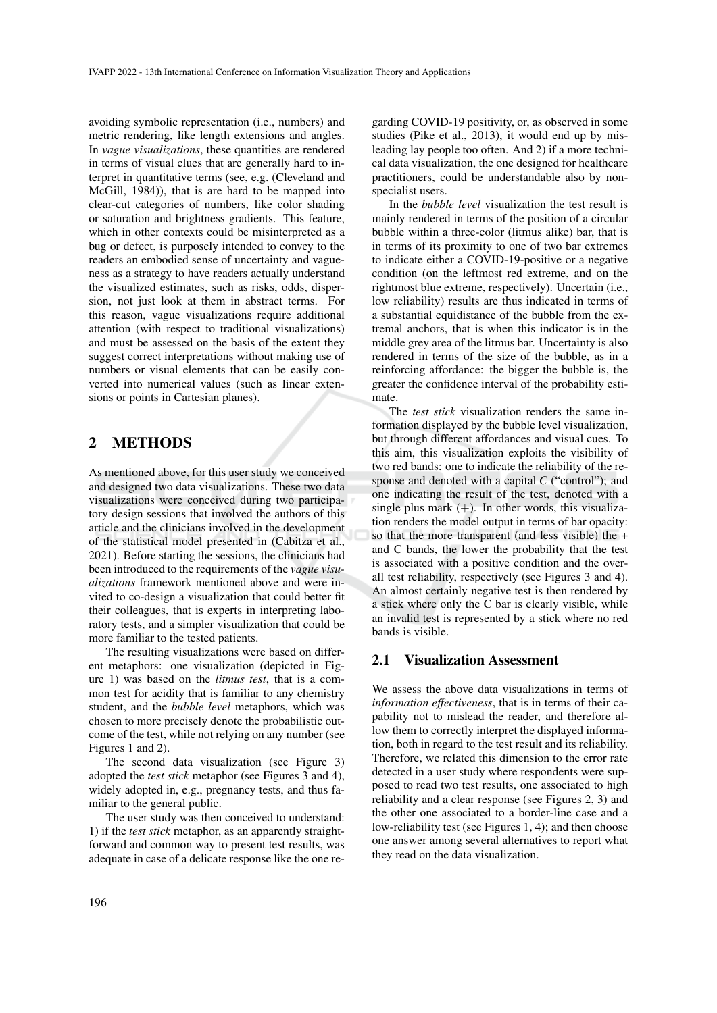avoiding symbolic representation (i.e., numbers) and metric rendering, like length extensions and angles. In *vague visualizations*, these quantities are rendered in terms of visual clues that are generally hard to interpret in quantitative terms (see, e.g. (Cleveland and McGill, 1984)), that is are hard to be mapped into clear-cut categories of numbers, like color shading or saturation and brightness gradients. This feature, which in other contexts could be misinterpreted as a bug or defect, is purposely intended to convey to the readers an embodied sense of uncertainty and vagueness as a strategy to have readers actually understand the visualized estimates, such as risks, odds, dispersion, not just look at them in abstract terms. For this reason, vague visualizations require additional attention (with respect to traditional visualizations) and must be assessed on the basis of the extent they suggest correct interpretations without making use of numbers or visual elements that can be easily converted into numerical values (such as linear extensions or points in Cartesian planes).

### 2 METHODS

As mentioned above, for this user study we conceived and designed two data visualizations. These two data visualizations were conceived during two participatory design sessions that involved the authors of this article and the clinicians involved in the development of the statistical model presented in (Cabitza et al., 2021). Before starting the sessions, the clinicians had been introduced to the requirements of the *vague visualizations* framework mentioned above and were invited to co-design a visualization that could better fit their colleagues, that is experts in interpreting laboratory tests, and a simpler visualization that could be more familiar to the tested patients.

The resulting visualizations were based on different metaphors: one visualization (depicted in Figure 1) was based on the *litmus test*, that is a common test for acidity that is familiar to any chemistry student, and the *bubble level* metaphors, which was chosen to more precisely denote the probabilistic outcome of the test, while not relying on any number (see Figures 1 and 2).

The second data visualization (see Figure 3) adopted the *test stick* metaphor (see Figures 3 and 4), widely adopted in, e.g., pregnancy tests, and thus familiar to the general public.

The user study was then conceived to understand: 1) if the *test stick* metaphor, as an apparently straightforward and common way to present test results, was adequate in case of a delicate response like the one re-

garding COVID-19 positivity, or, as observed in some studies (Pike et al., 2013), it would end up by misleading lay people too often. And 2) if a more technical data visualization, the one designed for healthcare practitioners, could be understandable also by nonspecialist users.

In the *bubble level* visualization the test result is mainly rendered in terms of the position of a circular bubble within a three-color (litmus alike) bar, that is in terms of its proximity to one of two bar extremes to indicate either a COVID-19-positive or a negative condition (on the leftmost red extreme, and on the rightmost blue extreme, respectively). Uncertain (i.e., low reliability) results are thus indicated in terms of a substantial equidistance of the bubble from the extremal anchors, that is when this indicator is in the middle grey area of the litmus bar. Uncertainty is also rendered in terms of the size of the bubble, as in a reinforcing affordance: the bigger the bubble is, the greater the confidence interval of the probability estimate.

The *test stick* visualization renders the same information displayed by the bubble level visualization, but through different affordances and visual cues. To this aim, this visualization exploits the visibility of two red bands: one to indicate the reliability of the response and denoted with a capital *C* ("control"); and one indicating the result of the test, denoted with a single plus mark  $(+)$ . In other words, this visualization renders the model output in terms of bar opacity: so that the more transparent (and less visible) the + and C bands, the lower the probability that the test is associated with a positive condition and the overall test reliability, respectively (see Figures 3 and 4). An almost certainly negative test is then rendered by a stick where only the C bar is clearly visible, while an invalid test is represented by a stick where no red bands is visible.

#### 2.1 Visualization Assessment

We assess the above data visualizations in terms of *information effectiveness*, that is in terms of their capability not to mislead the reader, and therefore allow them to correctly interpret the displayed information, both in regard to the test result and its reliability. Therefore, we related this dimension to the error rate detected in a user study where respondents were supposed to read two test results, one associated to high reliability and a clear response (see Figures 2, 3) and the other one associated to a border-line case and a low-reliability test (see Figures 1, 4); and then choose one answer among several alternatives to report what they read on the data visualization.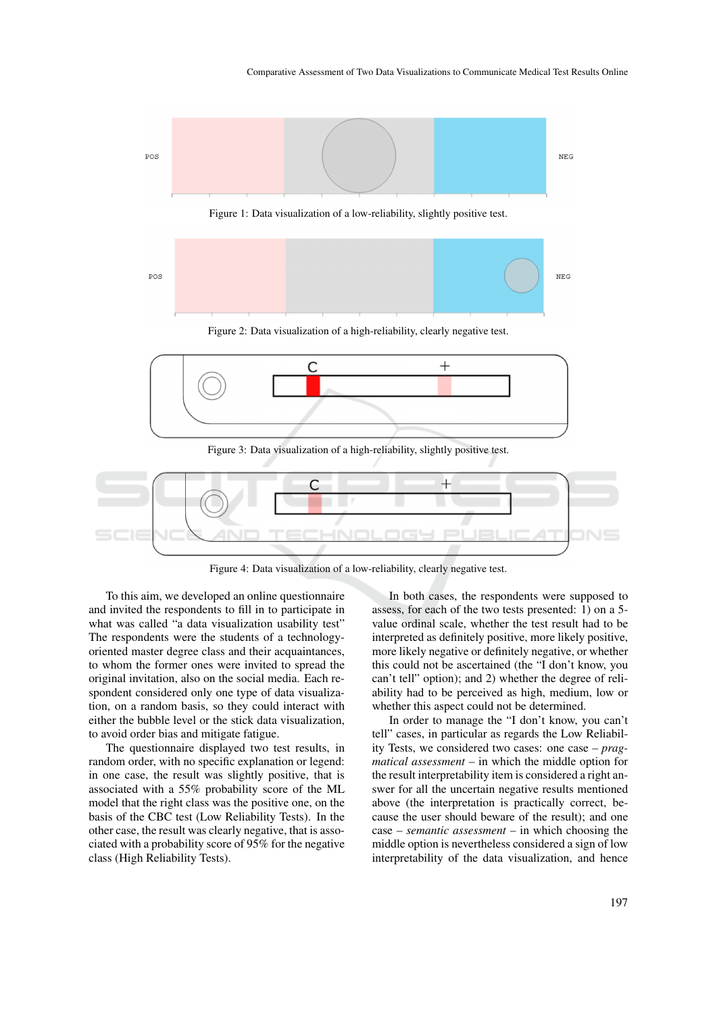



Figure 2: Data visualization of a high-reliability, clearly negative test.





Figure 4: Data visualization of a low-reliability, clearly negative test.

To this aim, we developed an online questionnaire and invited the respondents to fill in to participate in what was called "a data visualization usability test" The respondents were the students of a technologyoriented master degree class and their acquaintances, to whom the former ones were invited to spread the original invitation, also on the social media. Each respondent considered only one type of data visualization, on a random basis, so they could interact with either the bubble level or the stick data visualization, to avoid order bias and mitigate fatigue.

The questionnaire displayed two test results, in random order, with no specific explanation or legend: in one case, the result was slightly positive, that is associated with a 55% probability score of the ML model that the right class was the positive one, on the basis of the CBC test (Low Reliability Tests). In the other case, the result was clearly negative, that is associated with a probability score of 95% for the negative class (High Reliability Tests).

In both cases, the respondents were supposed to assess, for each of the two tests presented: 1) on a 5 value ordinal scale, whether the test result had to be interpreted as definitely positive, more likely positive, more likely negative or definitely negative, or whether this could not be ascertained (the "I don't know, you can't tell" option); and 2) whether the degree of reliability had to be perceived as high, medium, low or whether this aspect could not be determined.

In order to manage the "I don't know, you can't tell" cases, in particular as regards the Low Reliability Tests, we considered two cases: one case – *pragmatical assessment* – in which the middle option for the result interpretability item is considered a right answer for all the uncertain negative results mentioned above (the interpretation is practically correct, because the user should beware of the result); and one case – *semantic assessment* – in which choosing the middle option is nevertheless considered a sign of low interpretability of the data visualization, and hence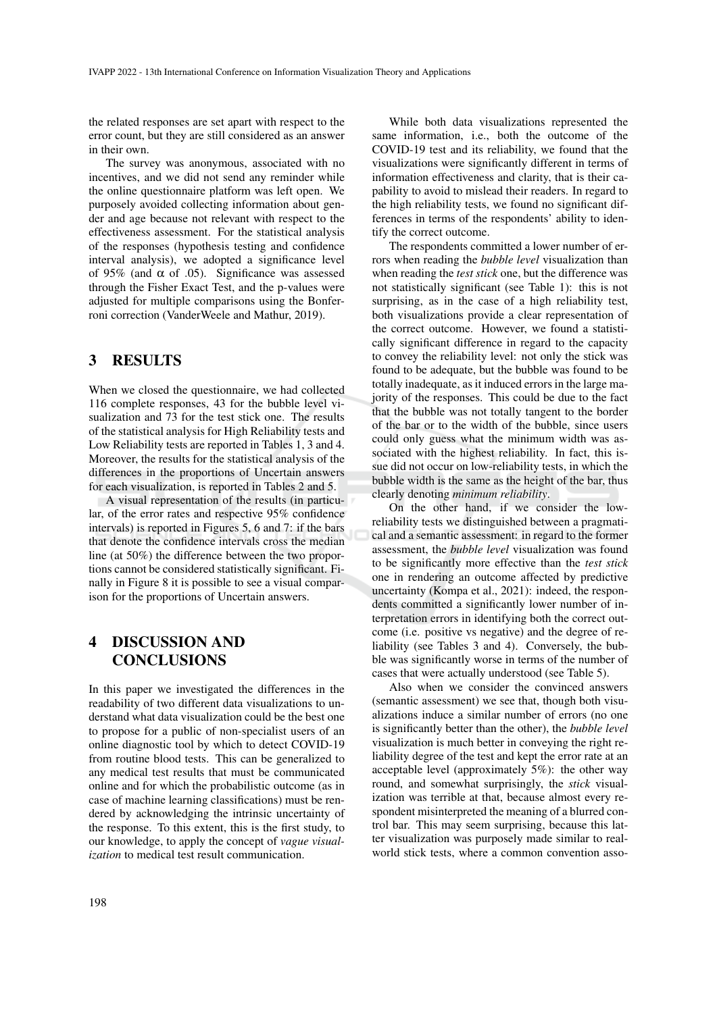the related responses are set apart with respect to the error count, but they are still considered as an answer in their own.

The survey was anonymous, associated with no incentives, and we did not send any reminder while the online questionnaire platform was left open. We purposely avoided collecting information about gender and age because not relevant with respect to the effectiveness assessment. For the statistical analysis of the responses (hypothesis testing and confidence interval analysis), we adopted a significance level of 95% (and  $\alpha$  of .05). Significance was assessed through the Fisher Exact Test, and the p-values were adjusted for multiple comparisons using the Bonferroni correction (VanderWeele and Mathur, 2019).

#### 3 RESULTS

When we closed the questionnaire, we had collected 116 complete responses, 43 for the bubble level visualization and 73 for the test stick one. The results of the statistical analysis for High Reliability tests and Low Reliability tests are reported in Tables 1, 3 and 4. Moreover, the results for the statistical analysis of the differences in the proportions of Uncertain answers for each visualization, is reported in Tables 2 and 5.

A visual representation of the results (in particular, of the error rates and respective 95% confidence intervals) is reported in Figures 5, 6 and 7: if the bars that denote the confidence intervals cross the median line (at 50%) the difference between the two proportions cannot be considered statistically significant. Finally in Figure 8 it is possible to see a visual comparison for the proportions of Uncertain answers.

## 4 DISCUSSION AND **CONCLUSIONS**

In this paper we investigated the differences in the readability of two different data visualizations to understand what data visualization could be the best one to propose for a public of non-specialist users of an online diagnostic tool by which to detect COVID-19 from routine blood tests. This can be generalized to any medical test results that must be communicated online and for which the probabilistic outcome (as in case of machine learning classifications) must be rendered by acknowledging the intrinsic uncertainty of the response. To this extent, this is the first study, to our knowledge, to apply the concept of *vague visualization* to medical test result communication.

While both data visualizations represented the same information, i.e., both the outcome of the COVID-19 test and its reliability, we found that the visualizations were significantly different in terms of information effectiveness and clarity, that is their capability to avoid to mislead their readers. In regard to the high reliability tests, we found no significant differences in terms of the respondents' ability to identify the correct outcome.

The respondents committed a lower number of errors when reading the *bubble level* visualization than when reading the *test stick* one, but the difference was not statistically significant (see Table 1): this is not surprising, as in the case of a high reliability test, both visualizations provide a clear representation of the correct outcome. However, we found a statistically significant difference in regard to the capacity to convey the reliability level: not only the stick was found to be adequate, but the bubble was found to be totally inadequate, as it induced errors in the large majority of the responses. This could be due to the fact that the bubble was not totally tangent to the border of the bar or to the width of the bubble, since users could only guess what the minimum width was associated with the highest reliability. In fact, this issue did not occur on low-reliability tests, in which the bubble width is the same as the height of the bar, thus clearly denoting *minimum reliability*.

On the other hand, if we consider the lowreliability tests we distinguished between a pragmatical and a semantic assessment: in regard to the former assessment, the *bubble level* visualization was found to be significantly more effective than the *test stick* one in rendering an outcome affected by predictive uncertainty (Kompa et al., 2021): indeed, the respondents committed a significantly lower number of interpretation errors in identifying both the correct outcome (i.e. positive vs negative) and the degree of reliability (see Tables 3 and 4). Conversely, the bubble was significantly worse in terms of the number of cases that were actually understood (see Table 5).

Also when we consider the convinced answers (semantic assessment) we see that, though both visualizations induce a similar number of errors (no one is significantly better than the other), the *bubble level* visualization is much better in conveying the right reliability degree of the test and kept the error rate at an acceptable level (approximately 5%): the other way round, and somewhat surprisingly, the *stick* visualization was terrible at that, because almost every respondent misinterpreted the meaning of a blurred control bar. This may seem surprising, because this latter visualization was purposely made similar to realworld stick tests, where a common convention asso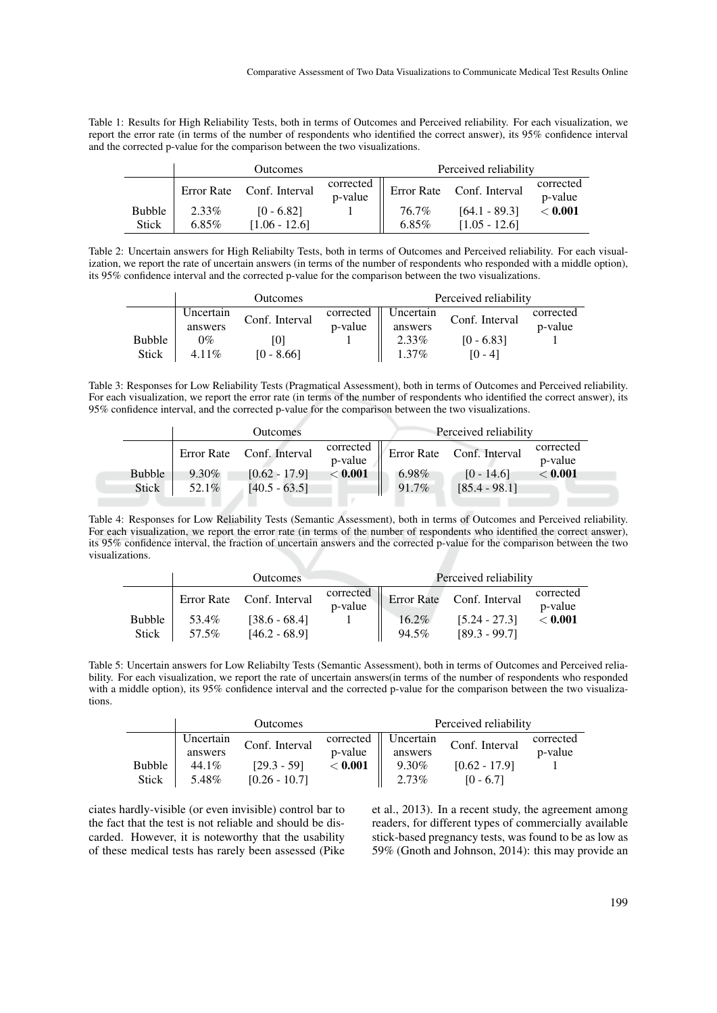Table 1: Results for High Reliability Tests, both in terms of Outcomes and Perceived reliability. For each visualization, we report the error rate (in terms of the number of respondents who identified the correct answer), its 95% confidence interval and the corrected p-value for the comparison between the two visualizations.

|               | <b>Outcomes</b> |                           |                      | Perceived reliability |                           |                      |
|---------------|-----------------|---------------------------|----------------------|-----------------------|---------------------------|----------------------|
|               |                 | Error Rate Conf. Interval | corrected<br>p-value |                       | Error Rate Conf. Interval | corrected<br>p-value |
| <b>Bubble</b> | 2.33%           | $[0 - 6.82]$              |                      | 76.7%                 | $[64.1 - 89.3]$           | $<$ 0.001 $\,$       |
| <b>Stick</b>  | $6.85\%$        | $[1.06 - 12.6]$           |                      | $6.85\%$              | $[1.05 - 12.6]$           |                      |

Table 2: Uncertain answers for High Reliabilty Tests, both in terms of Outcomes and Perceived reliability. For each visualization, we report the rate of uncertain answers (in terms of the number of respondents who responded with a middle option), its 95% confidence interval and the corrected p-value for the comparison between the two visualizations.

|               | Outcomes  |                |           | Perceived reliability |                |           |
|---------------|-----------|----------------|-----------|-----------------------|----------------|-----------|
|               | Uncertain | Conf. Interval | corrected | Uncertain             | Conf. Interval | corrected |
|               | answers   |                | p-value   | answers               |                | p-value   |
| <b>Bubble</b> | $0\%$     | ا () ا         |           | 2.33%                 | $[0 - 6.83]$   |           |
| <b>Stick</b>  | 4.11\%    | $[0 - 8.66]$   |           | $1.37\%$              | $[0 - 4]$      |           |

Table 3: Responses for Low Reliability Tests (Pragmatical Assessment), both in terms of Outcomes and Perceived reliability. For each visualization, we report the error rate (in terms of the number of respondents who identified the correct answer), its 95% confidence interval, and the corrected p-value for the comparison between the two visualizations.

|               |       | Outcomes                  |                      |       | Perceived reliability     |                      |
|---------------|-------|---------------------------|----------------------|-------|---------------------------|----------------------|
|               |       | Error Rate Conf. Interval | corrected<br>p-value |       | Error Rate Conf. Interval | corrected<br>p-value |
| <b>Bubble</b> | 9.30% | $[0.62 - 17.9]$           | $<$ 0.001 $\,$       | 6.98% | $[0 - 14.6]$              | < 0.001              |
| Stick         | 52.1% | $[40.5 - 63.5]$           |                      | 91.7% | $[85.4 - 98.1]$           |                      |
|               |       |                           |                      |       |                           |                      |

Table 4: Responses for Low Reliability Tests (Semantic Assessment), both in terms of Outcomes and Perceived reliability. For each visualization, we report the error rate (in terms of the number of respondents who identified the correct answer), its 95% confidence interval, the fraction of uncertain answers and the corrected p-value for the comparison between the two visualizations.

|                               | Outcomes       |                                                                 |                      | Perceived reliability |                                                                 |                                        |
|-------------------------------|----------------|-----------------------------------------------------------------|----------------------|-----------------------|-----------------------------------------------------------------|----------------------------------------|
| <b>Bubble</b><br><b>Stick</b> | 53.4%<br>57.5% | Error Rate Conf. Interval<br>$[38.6 - 68.4]$<br>$[46.2 - 68.9]$ | corrected<br>p-value | $16.2\%$<br>94.5%     | Error Rate Conf. Interval<br>$[5.24 - 27.3]$<br>$[89.3 - 99.7]$ | corrected<br>p-value<br>$<$ 0.001 $\,$ |

Table 5: Uncertain answers for Low Reliabilty Tests (Semantic Assessment), both in terms of Outcomes and Perceived reliability. For each visualization, we report the rate of uncertain answers(in terms of the number of respondents who responded with a middle option), its 95% confidence interval and the corrected p-value for the comparison between the two visualizations.

|               | Outcomes  |                 |                | Perceived reliability |                 |           |
|---------------|-----------|-----------------|----------------|-----------------------|-----------------|-----------|
|               | Uncertain | Conf. Interval  | corrected      | Uncertain             | Conf. Interval  | corrected |
|               | answers   |                 | p-value        | answers               |                 | p-value   |
| <b>Bubble</b> | 44.1%     | $[29.3 - 59]$   | $<$ 0.001 $\,$ | 9.30%                 | $[0.62 - 17.9]$ |           |
| <b>Stick</b>  | 5.48%     | $[0.26 - 10.7]$ |                | $2.73\%$              | $[0 - 6.7]$     |           |

ciates hardly-visible (or even invisible) control bar to the fact that the test is not reliable and should be discarded. However, it is noteworthy that the usability of these medical tests has rarely been assessed (Pike et al., 2013). In a recent study, the agreement among readers, for different types of commercially available stick-based pregnancy tests, was found to be as low as 59% (Gnoth and Johnson, 2014): this may provide an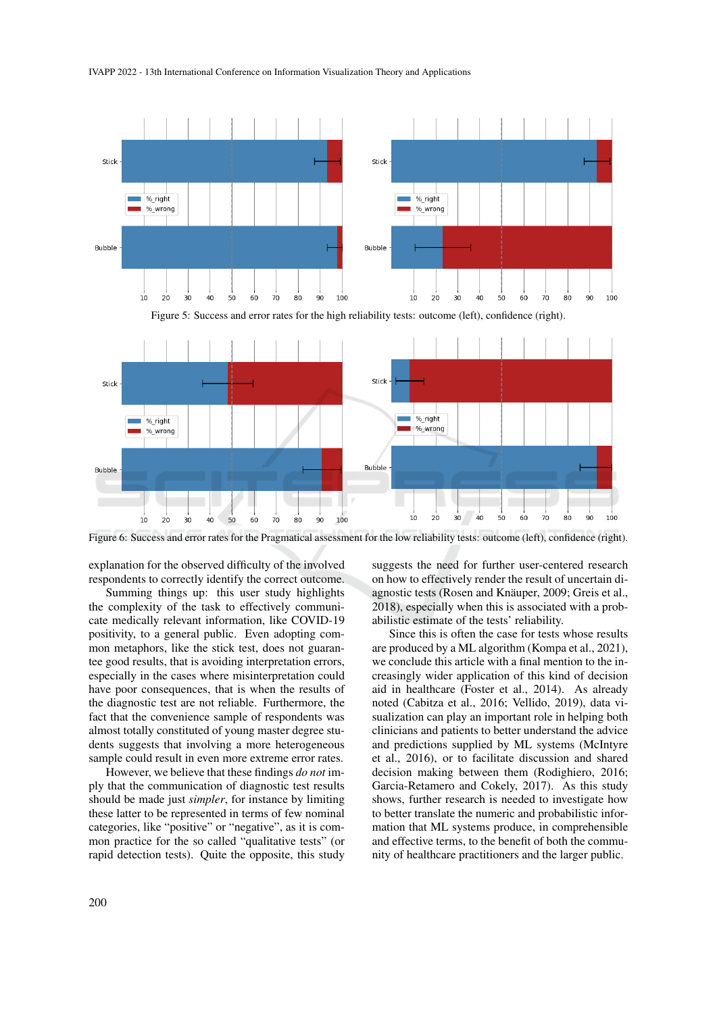#### IVAPP 2022 - 13th International Conference on Information Visualization Theory and Applications



Figure 6: Success and error rates for the Pragmatical assessment for the low reliability tests: outcome (left), confidence (right).

 $100$ 

70  $80$  $90$ 

60

 $10$  $2c$  $30$  $40$ 

explanation for the observed difficulty of the involved respondents to correctly identify the correct outcome.

 $40$  $50$ 

 $\overline{30}$ 

 $10$  $2c$ 

Summing things up: this user study highlights the complexity of the task to effectively communicate medically relevant information, like COVID-19 positivity, to a general public. Even adopting common metaphors, like the stick test, does not guarantee good results, that is avoiding interpretation errors, especially in the cases where misinterpretation could have poor consequences, that is when the results of the diagnostic test are not reliable. Furthermore, the fact that the convenience sample of respondents was almost totally constituted of young master degree students suggests that involving a more heterogeneous sample could result in even more extreme error rates.

However, we believe that these findings *do not* imply that the communication of diagnostic test results should be made just *simpler*, for instance by limiting these latter to be represented in terms of few nominal categories, like "positive" or "negative", as it is common practice for the so called "qualitative tests" (or rapid detection tests). Quite the opposite, this study

suggests the need for further user-centered research on how to effectively render the result of uncertain diagnostic tests (Rosen and Knäuper, 2009; Greis et al., 2018), especially when this is associated with a probabilistic estimate of the tests' reliability.

50

60  $70$ 80 90 100

Since this is often the case for tests whose results are produced by a ML algorithm (Kompa et al., 2021), we conclude this article with a final mention to the increasingly wider application of this kind of decision aid in healthcare (Foster et al., 2014). As already noted (Cabitza et al., 2016; Vellido, 2019), data visualization can play an important role in helping both clinicians and patients to better understand the advice and predictions supplied by ML systems (McIntyre et al., 2016), or to facilitate discussion and shared decision making between them (Rodighiero, 2016; Garcia-Retamero and Cokely, 2017). As this study shows, further research is needed to investigate how to better translate the numeric and probabilistic information that ML systems produce, in comprehensible and effective terms, to the benefit of both the community of healthcare practitioners and the larger public.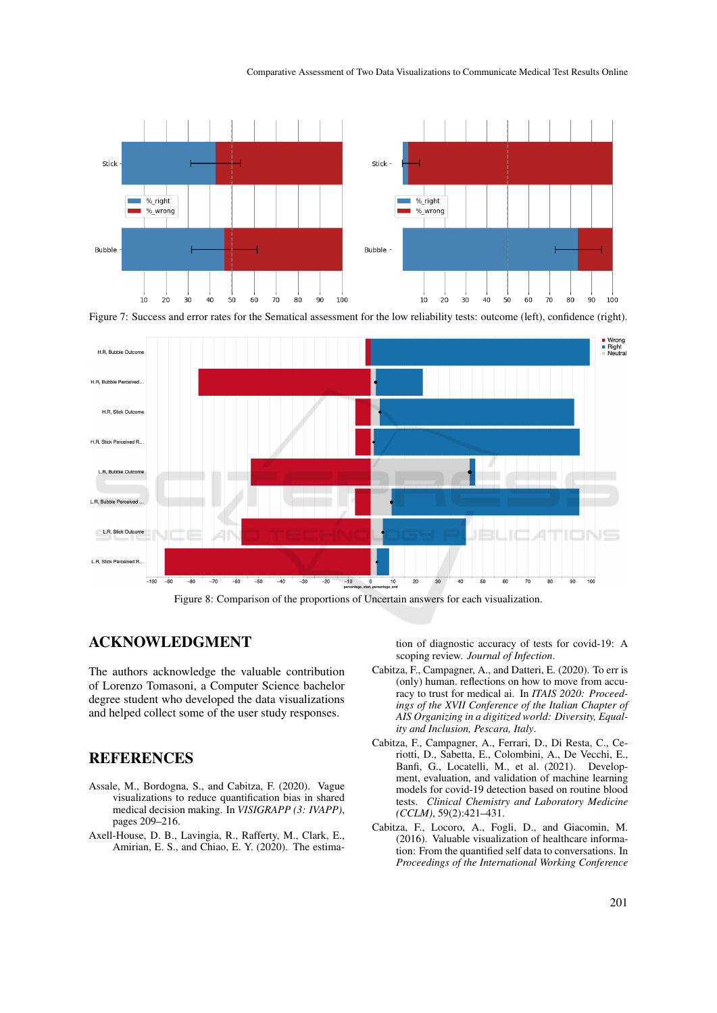#### Comparative Assessment of Two Data Visualizations to Communicate Medical Test Results Online







Figure 8: Comparison of the proportions of Uncertain answers for each visualization.

### ACKNOWLEDGMENT

The authors acknowledge the valuable contribution of Lorenzo Tomasoni, a Computer Science bachelor degree student who developed the data visualizations and helped collect some of the user study responses.

## **REFERENCES**

- Assale, M., Bordogna, S., and Cabitza, F. (2020). Vague visualizations to reduce quantification bias in shared medical decision making. In *VISIGRAPP (3: IVAPP)*, pages 209–216.
- Axell-House, D. B., Lavingia, R., Rafferty, M., Clark, E., Amirian, E. S., and Chiao, E. Y. (2020). The estima-

tion of diagnostic accuracy of tests for covid-19: A scoping review. *Journal of Infection*.

- Cabitza, F., Campagner, A., and Datteri, E. (2020). To err is (only) human. reflections on how to move from accuracy to trust for medical ai. In *ITAIS 2020: Proceedings of the XVII Conference of the Italian Chapter of AIS Organizing in a digitized world: Diversity, Equality and Inclusion, Pescara, Italy*.
- Cabitza, F., Campagner, A., Ferrari, D., Di Resta, C., Ceriotti, D., Sabetta, E., Colombini, A., De Vecchi, E., Banfi, G., Locatelli, M., et al. (2021). Development, evaluation, and validation of machine learning models for covid-19 detection based on routine blood tests. *Clinical Chemistry and Laboratory Medicine (CCLM)*, 59(2):421–431.
- Cabitza, F., Locoro, A., Fogli, D., and Giacomin, M. (2016). Valuable visualization of healthcare information: From the quantified self data to conversations. In *Proceedings of the International Working Conference*